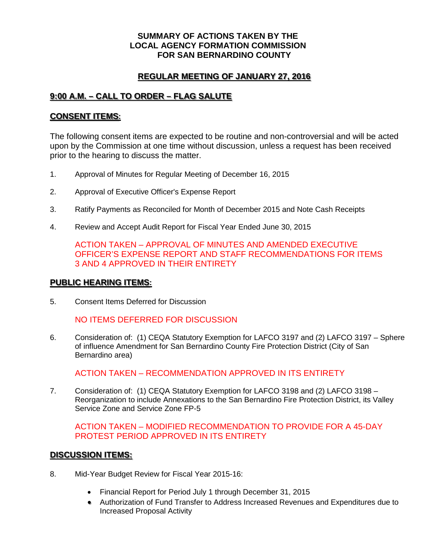#### **SUMMARY OF ACTIONS TAKEN BY THE LOCAL AGENCY FORMATION COMMISSION FOR SAN BERNARDINO COUNTY**

# **REGULAR MEETING OF JANUARY 27, 2016**

# **9:00 A.M. – CALL TO ORDER – FLAG SALUTE**

### **CONSENT ITEMS:**

The following consent items are expected to be routine and non-controversial and will be acted upon by the Commission at one time without discussion, unless a request has been received prior to the hearing to discuss the matter.

- 1. Approval of Minutes for Regular Meeting of December 16, 2015
- 2. Approval of Executive Officer's Expense Report
- 3. Ratify Payments as Reconciled for Month of December 2015 and Note Cash Receipts
- 4. Review and Accept Audit Report for Fiscal Year Ended June 30, 2015

ACTION TAKEN – APPROVAL OF MINUTES AND AMENDED EXECUTIVE OFFICER'S EXPENSE REPORT AND STAFF RECOMMENDATIONS FOR ITEMS 3 AND 4 APPROVED IN THEIR ENTIRETY

#### **PUBLIC HEARING ITEMS:**

5. Consent Items Deferred for Discussion

NO ITEMS DEFERRED FOR DISCUSSION

6. Consideration of: (1) CEQA Statutory Exemption for LAFCO 3197 and (2) LAFCO 3197 – Sphere of influence Amendment for San Bernardino County Fire Protection District (City of San Bernardino area)

ACTION TAKEN – RECOMMENDATION APPROVED IN ITS ENTIRETY

7. Consideration of: (1) CEQA Statutory Exemption for LAFCO 3198 and (2) LAFCO 3198 – Reorganization to include Annexations to the San Bernardino Fire Protection District, its Valley Service Zone and Service Zone FP-5

ACTION TAKEN – MODIFIED RECOMMENDATION TO PROVIDE FOR A 45-DAY PROTEST PERIOD APPROVED IN ITS ENTIRETY

## **DISCUSSION ITEMS:**

- 8. Mid-Year Budget Review for Fiscal Year 2015-16:
	- Financial Report for Period July 1 through December 31, 2015
	- Authorization of Fund Transfer to Address Increased Revenues and Expenditures due to Increased Proposal Activity